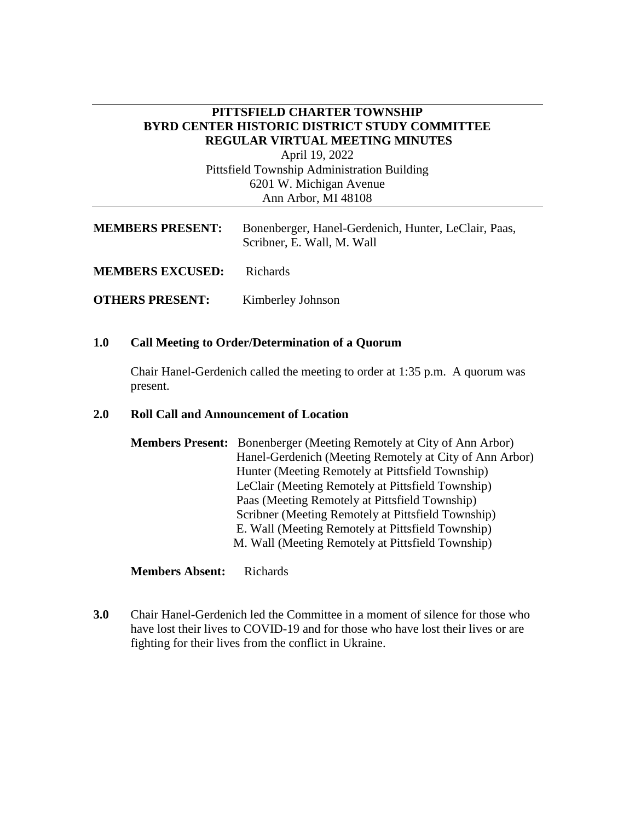## **PITTSFIELD CHARTER TOWNSHIP BYRD CENTER HISTORIC DISTRICT STUDY COMMITTEE REGULAR VIRTUAL MEETING MINUTES**

April 19, 2022 Pittsfield Township Administration Building 6201 W. Michigan Avenue Ann Arbor, MI 48108

| <b>MEMBERS PRESENT:</b> | Bonenberger, Hanel-Gerdenich, Hunter, LeClair, Paas,<br>Scribner, E. Wall, M. Wall |
|-------------------------|------------------------------------------------------------------------------------|
| <b>MEMBERS EXCUSED:</b> | Richards                                                                           |
| <b>OTHERS PRESENT:</b>  | Kimberley Johnson                                                                  |

#### **1.0 Call Meeting to Order/Determination of a Quorum**

Chair Hanel-Gerdenich called the meeting to order at 1:35 p.m. A quorum was present.

#### **2.0 Roll Call and Announcement of Location**

| <b>Members Present:</b> Bonenberger (Meeting Remotely at City of Ann Arbor) |
|-----------------------------------------------------------------------------|
| Hanel-Gerdenich (Meeting Remotely at City of Ann Arbor)                     |
| Hunter (Meeting Remotely at Pittsfield Township)                            |
| LeClair (Meeting Remotely at Pittsfield Township)                           |
| Paas (Meeting Remotely at Pittsfield Township)                              |
| Scribner (Meeting Remotely at Pittsfield Township)                          |
| E. Wall (Meeting Remotely at Pittsfield Township)                           |
| M. Wall (Meeting Remotely at Pittsfield Township)                           |

**Members Absent:** Richards

**3.0** Chair Hanel-Gerdenich led the Committee in a moment of silence for those who have lost their lives to COVID-19 and for those who have lost their lives or are fighting for their lives from the conflict in Ukraine.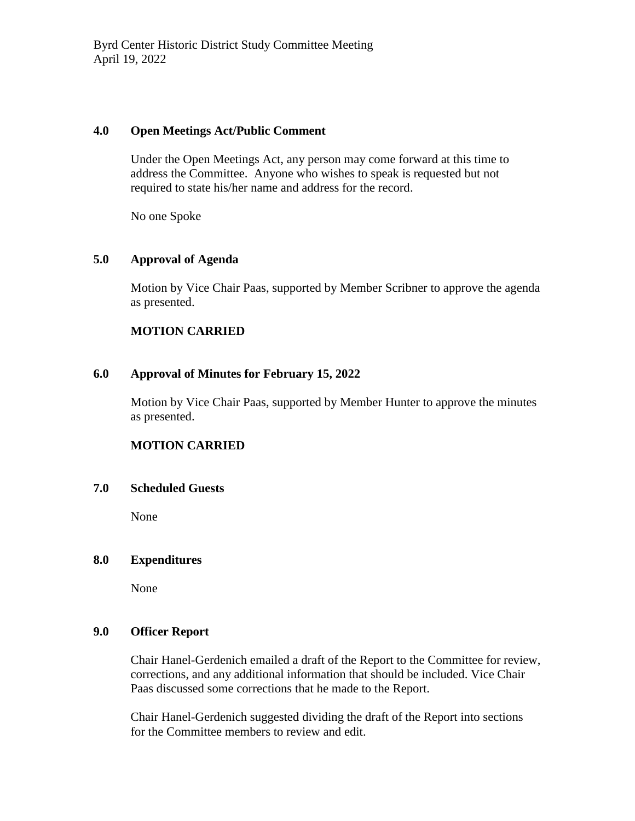### **4.0 Open Meetings Act/Public Comment**

Under the Open Meetings Act, any person may come forward at this time to address the Committee. Anyone who wishes to speak is requested but not required to state his/her name and address for the record.

No one Spoke

# **5.0 Approval of Agenda**

Motion by Vice Chair Paas, supported by Member Scribner to approve the agenda as presented.

# **MOTION CARRIED**

## **6.0 Approval of Minutes for February 15, 2022**

Motion by Vice Chair Paas, supported by Member Hunter to approve the minutes as presented.

# **MOTION CARRIED**

### **7.0 Scheduled Guests**

None

### **8.0 Expenditures**

None

### **9.0 Officer Report**

Chair Hanel-Gerdenich emailed a draft of the Report to the Committee for review, corrections, and any additional information that should be included. Vice Chair Paas discussed some corrections that he made to the Report.

Chair Hanel-Gerdenich suggested dividing the draft of the Report into sections for the Committee members to review and edit.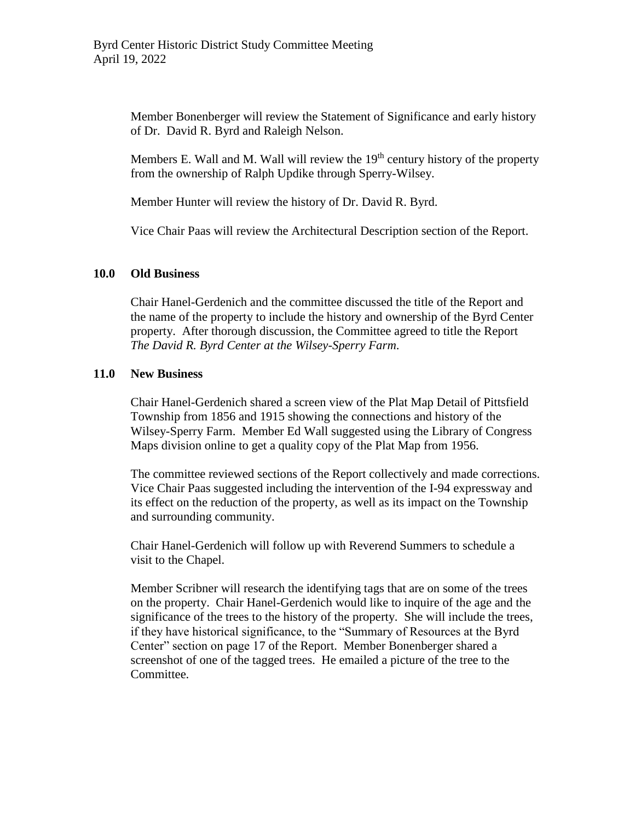Member Bonenberger will review the Statement of Significance and early history of Dr. David R. Byrd and Raleigh Nelson.

Members E. Wall and M. Wall will review the  $19<sup>th</sup>$  century history of the property from the ownership of Ralph Updike through Sperry-Wilsey.

Member Hunter will review the history of Dr. David R. Byrd.

Vice Chair Paas will review the Architectural Description section of the Report.

### **10.0 Old Business**

Chair Hanel-Gerdenich and the committee discussed the title of the Report and the name of the property to include the history and ownership of the Byrd Center property. After thorough discussion, the Committee agreed to title the Report *The David R. Byrd Center at the Wilsey-Sperry Farm*.

### **11.0 New Business**

Chair Hanel-Gerdenich shared a screen view of the Plat Map Detail of Pittsfield Township from 1856 and 1915 showing the connections and history of the Wilsey-Sperry Farm. Member Ed Wall suggested using the Library of Congress Maps division online to get a quality copy of the Plat Map from 1956.

The committee reviewed sections of the Report collectively and made corrections. Vice Chair Paas suggested including the intervention of the I-94 expressway and its effect on the reduction of the property, as well as its impact on the Township and surrounding community.

Chair Hanel-Gerdenich will follow up with Reverend Summers to schedule a visit to the Chapel.

Member Scribner will research the identifying tags that are on some of the trees on the property. Chair Hanel-Gerdenich would like to inquire of the age and the significance of the trees to the history of the property. She will include the trees, if they have historical significance, to the "Summary of Resources at the Byrd Center" section on page 17 of the Report. Member Bonenberger shared a screenshot of one of the tagged trees. He emailed a picture of the tree to the Committee.